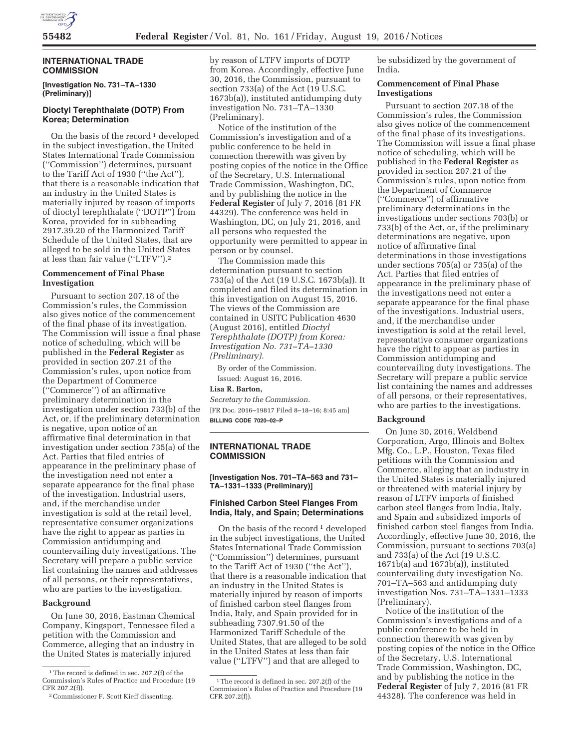

## **INTERNATIONAL TRADE COMMISSION**

**[Investigation No. 731–TA–1330 (Preliminary)]** 

# **Dioctyl Terephthalate (DOTP) From Korea; Determination**

On the basis of the record  $1$  developed in the subject investigation, the United States International Trade Commission (''Commission'') determines, pursuant to the Tariff Act of 1930 (''the Act''), that there is a reasonable indication that an industry in the United States is materially injured by reason of imports of dioctyl terephthalate (''DOTP'') from Korea, provided for in subheading 2917.39.20 of the Harmonized Tariff Schedule of the United States, that are alleged to be sold in the United States at less than fair value (''LTFV'').2

## **Commencement of Final Phase Investigation**

Pursuant to section 207.18 of the Commission's rules, the Commission also gives notice of the commencement of the final phase of its investigation. The Commission will issue a final phase notice of scheduling, which will be published in the **Federal Register** as provided in section 207.21 of the Commission's rules, upon notice from the Department of Commerce (''Commerce'') of an affirmative preliminary determination in the investigation under section 733(b) of the Act, or, if the preliminary determination is negative, upon notice of an affirmative final determination in that investigation under section 735(a) of the Act. Parties that filed entries of appearance in the preliminary phase of the investigation need not enter a separate appearance for the final phase of the investigation. Industrial users, and, if the merchandise under investigation is sold at the retail level, representative consumer organizations have the right to appear as parties in Commission antidumping and countervailing duty investigations. The Secretary will prepare a public service list containing the names and addresses of all persons, or their representatives, who are parties to the investigation.

## **Background**

On June 30, 2016, Eastman Chemical Company, Kingsport, Tennessee filed a petition with the Commission and Commerce, alleging that an industry in the United States is materially injured

by reason of LTFV imports of DOTP from Korea. Accordingly, effective June 30, 2016, the Commission, pursuant to section 733(a) of the Act (19 U.S.C. 1673b(a)), instituted antidumping duty investigation No. 731–TA–1330 (Preliminary).

Notice of the institution of the Commission's investigation and of a public conference to be held in connection therewith was given by posting copies of the notice in the Office of the Secretary, U.S. International Trade Commission, Washington, DC, and by publishing the notice in the **Federal Register** of July 7, 2016 (81 FR 44329). The conference was held in Washington, DC, on July 21, 2016, and all persons who requested the opportunity were permitted to appear in person or by counsel.

The Commission made this determination pursuant to section 733(a) of the Act (19 U.S.C. 1673b(a)). It completed and filed its determination in this investigation on August 15, 2016. The views of the Commission are contained in USITC Publication 4630 (August 2016), entitled *Dioctyl Terephthalate (DOTP) from Korea: Investigation No. 731–TA–1330 (Preliminary).* 

By order of the Commission. Issued: August 16, 2016.

# **Lisa R. Barton,**

*Secretary to the Commission.*  [FR Doc. 2016–19817 Filed 8–18–16; 8:45 am] **BILLING CODE 7020–02–P** 

### **INTERNATIONAL TRADE COMMISSION**

**[Investigation Nos. 701–TA–563 and 731– TA–1331–1333 (Preliminary)]** 

# **Finished Carbon Steel Flanges From India, Italy, and Spain; Determinations**

On the basis of the record  $1$  developed in the subject investigations, the United States International Trade Commission (''Commission'') determines, pursuant to the Tariff Act of 1930 (''the Act''), that there is a reasonable indication that an industry in the United States is materially injured by reason of imports of finished carbon steel flanges from India, Italy, and Spain provided for in subheading 7307.91.50 of the Harmonized Tariff Schedule of the United States, that are alleged to be sold in the United States at less than fair value (''LTFV'') and that are alleged to

be subsidized by the government of India.

### **Commencement of Final Phase Investigations**

Pursuant to section 207.18 of the Commission's rules, the Commission also gives notice of the commencement of the final phase of its investigations. The Commission will issue a final phase notice of scheduling, which will be published in the **Federal Register** as provided in section 207.21 of the Commission's rules, upon notice from the Department of Commerce (''Commerce'') of affirmative preliminary determinations in the investigations under sections 703(b) or 733(b) of the Act, or, if the preliminary determinations are negative, upon notice of affirmative final determinations in those investigations under sections 705(a) or 735(a) of the Act. Parties that filed entries of appearance in the preliminary phase of the investigations need not enter a separate appearance for the final phase of the investigations. Industrial users, and, if the merchandise under investigation is sold at the retail level, representative consumer organizations have the right to appear as parties in Commission antidumping and countervailing duty investigations. The Secretary will prepare a public service list containing the names and addresses of all persons, or their representatives, who are parties to the investigations.

### **Background**

On June 30, 2016, Weldbend Corporation, Argo, Illinois and Boltex Mfg. Co., L.P., Houston, Texas filed petitions with the Commission and Commerce, alleging that an industry in the United States is materially injured or threatened with material injury by reason of LTFV imports of finished carbon steel flanges from India, Italy, and Spain and subsidized imports of finished carbon steel flanges from India. Accordingly, effective June 30, 2016, the Commission, pursuant to sections 703(a) and 733(a) of the Act (19 U.S.C. 1671b(a) and 1673b(a)), instituted countervailing duty investigation No. 701–TA–563 and antidumping duty investigation Nos. 731–TA–1331–1333 (Preliminary).

Notice of the institution of the Commission's investigations and of a public conference to be held in connection therewith was given by posting copies of the notice in the Office of the Secretary, U.S. International Trade Commission, Washington, DC, and by publishing the notice in the **Federal Register** of July 7, 2016 (81 FR 44328). The conference was held in

<sup>&</sup>lt;sup>1</sup>The record is defined in sec. 207.2(f) of the Commission's Rules of Practice and Procedure (19 CFR 207.2(f)).

<sup>2</sup>Commissioner F. Scott Kieff dissenting.

<sup>&</sup>lt;sup>1</sup>The record is defined in sec. 207.2(f) of the Commission's Rules of Practice and Procedure (19 CFR 207.2(f)).